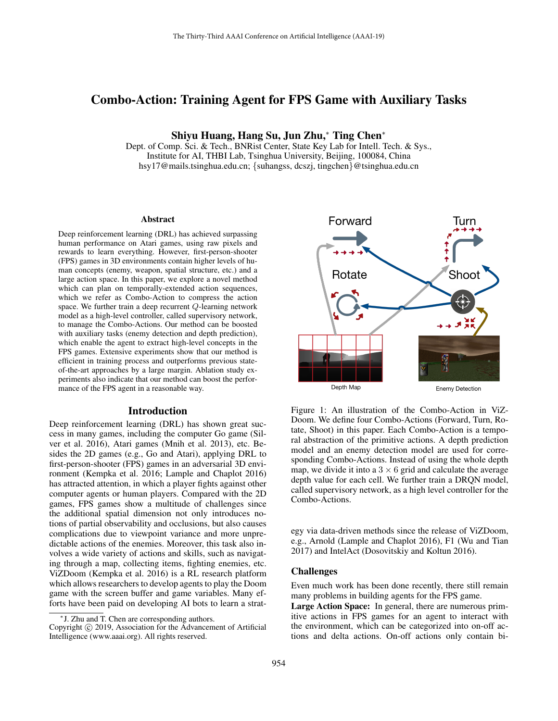# Combo-Action: Training Agent for FPS Game with Auxiliary Tasks

Shiyu Huang, Hang Su, Jun Zhu,<sup>∗</sup> Ting Chen<sup>∗</sup>

Dept. of Comp. Sci. & Tech., BNRist Center, State Key Lab for Intell. Tech. & Sys., Institute for AI, THBI Lab, Tsinghua University, Beijing, 100084, China hsy17@mails.tsinghua.edu.cn; {suhangss, dcszj, tingchen}@tsinghua.edu.cn

#### **Abstract**

Deep reinforcement learning (DRL) has achieved surpassing human performance on Atari games, using raw pixels and rewards to learn everything. However, first-person-shooter (FPS) games in 3D environments contain higher levels of human concepts (enemy, weapon, spatial structure, etc.) and a large action space. In this paper, we explore a novel method which can plan on temporally-extended action sequences, which we refer as Combo-Action to compress the action space. We further train a deep recurrent Q-learning network model as a high-level controller, called supervisory network, to manage the Combo-Actions. Our method can be boosted with auxiliary tasks (enemy detection and depth prediction), which enable the agent to extract high-level concepts in the FPS games. Extensive experiments show that our method is efficient in training process and outperforms previous stateof-the-art approaches by a large margin. Ablation study experiments also indicate that our method can boost the performance of the FPS agent in a reasonable way.

# Introduction

Deep reinforcement learning (DRL) has shown great success in many games, including the computer Go game (Silver et al. 2016), Atari games (Mnih et al. 2013), etc. Besides the 2D games (e.g., Go and Atari), applying DRL to first-person-shooter (FPS) games in an adversarial 3D environment (Kempka et al. 2016; Lample and Chaplot 2016) has attracted attention, in which a player fights against other computer agents or human players. Compared with the 2D games, FPS games show a multitude of challenges since the additional spatial dimension not only introduces notions of partial observability and occlusions, but also causes complications due to viewpoint variance and more unpredictable actions of the enemies. Moreover, this task also involves a wide variety of actions and skills, such as navigating through a map, collecting items, fighting enemies, etc. ViZDoom (Kempka et al. 2016) is a RL research platform which allows researchers to develop agents to play the Doom game with the screen buffer and game variables. Many efforts have been paid on developing AI bots to learn a strat-



Figure 1: An illustration of the Combo-Action in ViZ-Doom. We define four Combo-Actions (Forward, Turn, Rotate, Shoot) in this paper. Each Combo-Action is a temporal abstraction of the primitive actions. A depth prediction model and an enemy detection model are used for corresponding Combo-Actions. Instead of using the whole depth map, we divide it into a  $3 \times 6$  grid and calculate the average depth value for each cell. We further train a DRQN model, called supervisory network, as a high level controller for the Combo-Actions.

egy via data-driven methods since the release of ViZDoom, e.g., Arnold (Lample and Chaplot 2016), F1 (Wu and Tian 2017) and IntelAct (Dosovitskiy and Koltun 2016).

# Challenges

Even much work has been done recently, there still remain many problems in building agents for the FPS game.

Large Action Space: In general, there are numerous primitive actions in FPS games for an agent to interact with the environment, which can be categorized into on-off actions and delta actions. On-off actions only contain bi-

<sup>∗</sup> J. Zhu and T. Chen are corresponding authors.

Copyright © 2019, Association for the Advancement of Artificial Intelligence (www.aaai.org). All rights reserved.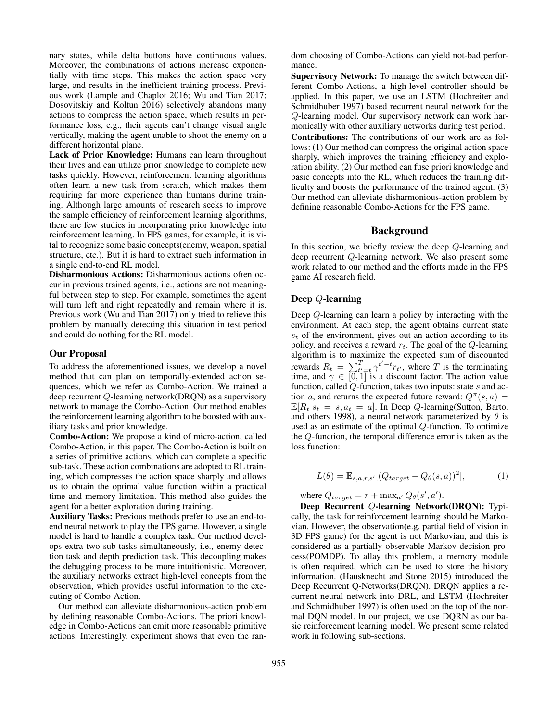nary states, while delta buttons have continuous values. Moreover, the combinations of actions increase exponentially with time steps. This makes the action space very large, and results in the inefficient training process. Previous work (Lample and Chaplot 2016; Wu and Tian 2017; Dosovitskiy and Koltun 2016) selectively abandons many actions to compress the action space, which results in performance loss, e.g., their agents can't change visual angle vertically, making the agent unable to shoot the enemy on a different horizontal plane.

Lack of Prior Knowledge: Humans can learn throughout their lives and can utilize prior knowledge to complete new tasks quickly. However, reinforcement learning algorithms often learn a new task from scratch, which makes them requiring far more experience than humans during training. Although large amounts of research seeks to improve the sample efficiency of reinforcement learning algorithms, there are few studies in incorporating prior knowledge into reinforcement learning. In FPS games, for example, it is vital to recognize some basic concepts(enemy, weapon, spatial structure, etc.). But it is hard to extract such information in a single end-to-end RL model.

Disharmonious Actions: Disharmonious actions often occur in previous trained agents, i.e., actions are not meaningful between step to step. For example, sometimes the agent will turn left and right repeatedly and remain where it is. Previous work (Wu and Tian 2017) only tried to relieve this problem by manually detecting this situation in test period and could do nothing for the RL model.

#### Our Proposal

To address the aforementioned issues, we develop a novel method that can plan on temporally-extended action sequences, which we refer as Combo-Action. We trained a deep recurrent Q-learning network(DRQN) as a supervisory network to manage the Combo-Action. Our method enables the reinforcement learning algorithm to be boosted with auxiliary tasks and prior knowledge.

Combo-Action: We propose a kind of micro-action, called Combo-Action, in this paper. The Combo-Action is built on a series of primitive actions, which can complete a specific sub-task. These action combinations are adopted to RL training, which compresses the action space sharply and allows us to obtain the optimal value function within a practical time and memory limitation. This method also guides the agent for a better exploration during training.

Auxiliary Tasks: Previous methods prefer to use an end-toend neural network to play the FPS game. However, a single model is hard to handle a complex task. Our method develops extra two sub-tasks simultaneously, i.e., enemy detection task and depth prediction task. This decoupling makes the debugging process to be more intuitionistic. Moreover, the auxiliary networks extract high-level concepts from the observation, which provides useful information to the executing of Combo-Action.

Our method can alleviate disharmonious-action problem by defining reasonable Combo-Actions. The priori knowledge in Combo-Actions can emit more reasonable primitive actions. Interestingly, experiment shows that even the random choosing of Combo-Actions can yield not-bad performance.

Supervisory Network: To manage the switch between different Combo-Actions, a high-level controller should be applied. In this paper, we use an LSTM (Hochreiter and Schmidhuber 1997) based recurrent neural network for the Q-learning model. Our supervisory network can work harmonically with other auxiliary networks during test period.

Contributions: The contributions of our work are as follows: (1) Our method can compress the original action space sharply, which improves the training efficiency and exploration ability. (2) Our method can fuse priori knowledge and basic concepts into the RL, which reduces the training difficulty and boosts the performance of the trained agent. (3) Our method can alleviate disharmonious-action problem by defining reasonable Combo-Actions for the FPS game.

# Background

In this section, we briefly review the deep Q-learning and deep recurrent Q-learning network. We also present some work related to our method and the efforts made in the FPS game AI research field.

# Deep Q-learning

Deep Q-learning can learn a policy by interacting with the environment. At each step, the agent obtains current state  $s_t$  of the environment, gives out an action according to its policy, and receives a reward  $r_t$ . The goal of the  $Q$ -learning algorithm is to maximize the expected sum of discounted rewards  $R_t = \sum_{t'=t}^{T} \gamma^{t'-t} r_{t'}$ , where T is the terminating time, and  $\gamma \in [0, 1]$  is a discount factor. The action value function, called Q-function, takes two inputs: state s and action a, and returns the expected future reward:  $Q^{\pi}(s, a) =$  $\mathbb{E}[R_t|s_t = s, a_t = a]$ . In Deep Q-learning(Sutton, Barto, and others 1998), a neural network parameterized by  $\theta$  is used as an estimate of the optimal Q-function. To optimize the Q-function, the temporal difference error is taken as the loss function:

$$
L(\theta) = \mathbb{E}_{s,a,r,s'}[(Q_{target} - Q_{\theta}(s,a))^2],
$$
 (1)

where  $Q_{target} = r + \max_{a'} Q_{\theta}(s', a').$ 

Deep Recurrent Q-learning Network(DRQN): Typically, the task for reinforcement learning should be Markovian. However, the observation(e.g. partial field of vision in 3D FPS game) for the agent is not Markovian, and this is considered as a partially observable Markov decision process(POMDP). To allay this problem, a memory module is often required, which can be used to store the history information. (Hausknecht and Stone 2015) introduced the Deep Recurrent Q-Networks(DRQN). DRQN applies a recurrent neural network into DRL, and LSTM (Hochreiter and Schmidhuber 1997) is often used on the top of the normal DQN model. In our project, we use DQRN as our basic reinforcement learning model. We present some related work in following sub-sections.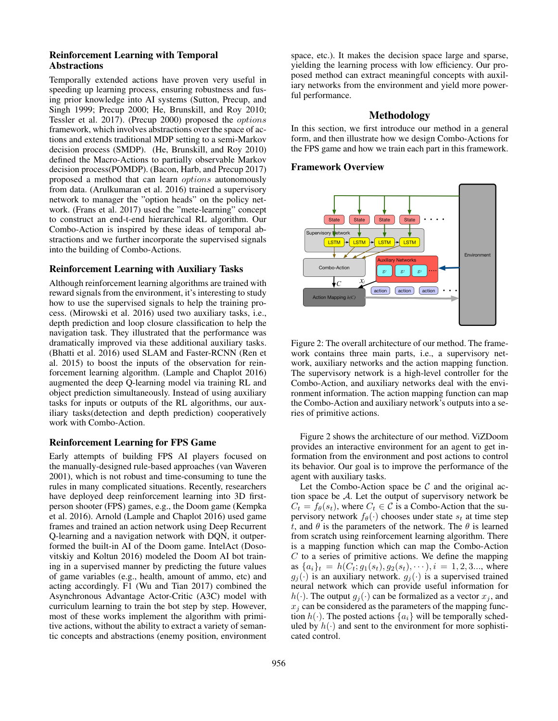# Reinforcement Learning with Temporal Abstractions

Temporally extended actions have proven very useful in speeding up learning process, ensuring robustness and fusing prior knowledge into AI systems (Sutton, Precup, and Singh 1999; Precup 2000; He, Brunskill, and Roy 2010; Tessler et al. 2017). (Precup 2000) proposed the options framework, which involves abstractions over the space of actions and extends traditional MDP setting to a semi-Markov decision process (SMDP). (He, Brunskill, and Roy 2010) defined the Macro-Actions to partially observable Markov decision process(POMDP). (Bacon, Harb, and Precup 2017) proposed a method that can learn options autonomously from data. (Arulkumaran et al. 2016) trained a supervisory network to manager the "option heads" on the policy network. (Frans et al. 2017) used the "mete-learning" concept to construct an end-t-end hierarchical RL algorithm. Our Combo-Action is inspired by these ideas of temporal abstractions and we further incorporate the supervised signals into the building of Combo-Actions.

# Reinforcement Learning with Auxiliary Tasks

Although reinforcement learning algorithms are trained with reward signals from the environment, it's interesting to study how to use the supervised signals to help the training process. (Mirowski et al. 2016) used two auxiliary tasks, i.e., depth prediction and loop closure classification to help the navigation task. They illustrated that the performance was dramatically improved via these additional auxiliary tasks. (Bhatti et al. 2016) used SLAM and Faster-RCNN (Ren et al. 2015) to boost the inputs of the observation for reinforcement learning algorithm. (Lample and Chaplot 2016) augmented the deep Q-learning model via training RL and object prediction simultaneously. Instead of using auxiliary tasks for inputs or outputs of the RL algorithms, our auxiliary tasks(detection and depth prediction) cooperatively work with Combo-Action.

# Reinforcement Learning for FPS Game

Early attempts of building FPS AI players focused on the manually-designed rule-based approaches (van Waveren 2001), which is not robust and time-consuming to tune the rules in many complicated situations. Recently, researchers have deployed deep reinforcement learning into 3D firstperson shooter (FPS) games, e.g., the Doom game (Kempka et al. 2016). Arnold (Lample and Chaplot 2016) used game frames and trained an action network using Deep Recurrent Q-learning and a navigation network with DQN, it outperformed the built-in AI of the Doom game. IntelAct (Dosovitskiy and Koltun 2016) modeled the Doom AI bot training in a supervised manner by predicting the future values of game variables (e.g., health, amount of ammo, etc) and acting accordingly. F1 (Wu and Tian 2017) combined the Asynchronous Advantage Actor-Critic (A3C) model with curriculum learning to train the bot step by step. However, most of these works implement the algorithm with primitive actions, without the ability to extract a variety of semantic concepts and abstractions (enemy position, environment

space, etc.). It makes the decision space large and sparse, yielding the learning process with low efficiency. Our proposed method can extract meaningful concepts with auxiliary networks from the environment and yield more powerful performance.

# Methodology

In this section, we first introduce our method in a general form, and then illustrate how we design Combo-Actions for the FPS game and how we train each part in this framework.

#### Framework Overview



Figure 2: The overall architecture of our method. The framework contains three main parts, i.e., a supervisory network, auxiliary networks and the action mapping function. The supervisory network is a high-level controller for the Combo-Action, and auxiliary networks deal with the environment information. The action mapping function can map the Combo-Action and auxiliary network's outputs into a series of primitive actions.

Figure 2 shows the architecture of our method. ViZDoom provides an interactive environment for an agent to get information from the environment and post actions to control its behavior. Our goal is to improve the performance of the agent with auxiliary tasks.

Let the Combo-Action space be  $\mathcal C$  and the original action space be A. Let the output of supervisory network be  $C_t = f_{\theta}(s_t)$ , where  $C_t \in \mathcal{C}$  is a Combo-Action that the supervisory network  $f_{\theta}(\cdot)$  chooses under state  $s_t$  at time step t, and  $\theta$  is the parameters of the network. The  $\theta$  is learned from scratch using reinforcement learning algorithm. There is a mapping function which can map the Combo-Action  $C$  to a series of primitive actions. We define the mapping as  ${a_i}_t = h(C_t; g_1(s_t), g_2(s_t), \cdots), i = 1, 2, 3...$ , where  $g_j(\cdot)$  is an auxiliary network.  $g_j(\cdot)$  is a supervised trained neural network which can provide useful information for  $h(\cdot)$ . The output  $g_i(\cdot)$  can be formalized as a vector  $x_i$ , and  $x_i$  can be considered as the parameters of the mapping function  $h(\cdot)$ . The posted actions  $\{a_i\}$  will be temporally scheduled by  $h(\cdot)$  and sent to the environment for more sophisticated control.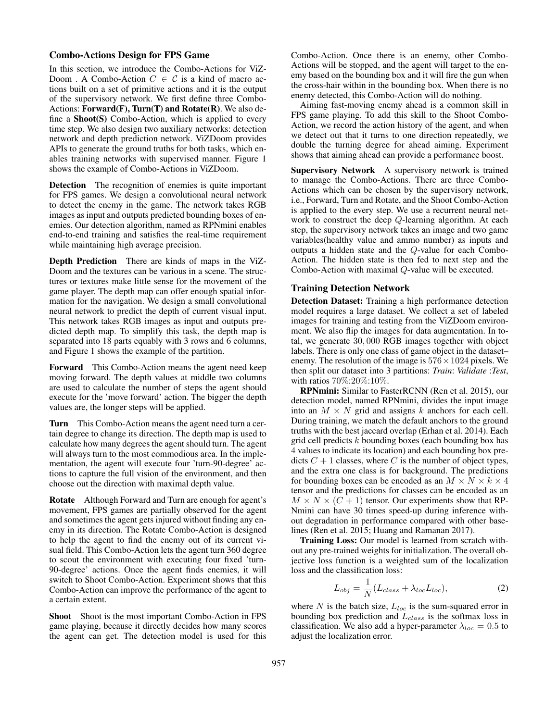# Combo-Actions Design for FPS Game

In this section, we introduce the Combo-Actions for ViZ-Doom. A Combo-Action  $C \in \mathcal{C}$  is a kind of macro actions built on a set of primitive actions and it is the output of the supervisory network. We first define three Combo-Actions:  $Forward(F)$ ,  $Turn(T)$  and  $Rotate(R)$ . We also define a Shoot(S) Combo-Action, which is applied to every time step. We also design two auxiliary networks: detection network and depth prediction network. ViZDoom provides APIs to generate the ground truths for both tasks, which enables training networks with supervised manner. Figure 1 shows the example of Combo-Actions in ViZDoom.

Detection The recognition of enemies is quite important for FPS games. We design a convolutional neural network to detect the enemy in the game. The network takes RGB images as input and outputs predicted bounding boxes of enemies. Our detection algorithm, named as RPNmini enables end-to-end training and satisfies the real-time requirement while maintaining high average precision.

Depth Prediction There are kinds of maps in the ViZ-Doom and the textures can be various in a scene. The structures or textures make little sense for the movement of the game player. The depth map can offer enough spatial information for the navigation. We design a small convolutional neural network to predict the depth of current visual input. This network takes RGB images as input and outputs predicted depth map. To simplify this task, the depth map is separated into 18 parts equably with 3 rows and 6 columns, and Figure 1 shows the example of the partition.

Forward This Combo-Action means the agent need keep moving forward. The depth values at middle two columns are used to calculate the number of steps the agent should execute for the 'move forward' action. The bigger the depth values are, the longer steps will be applied.

Turn This Combo-Action means the agent need turn a certain degree to change its direction. The depth map is used to calculate how many degrees the agent should turn. The agent will always turn to the most commodious area. In the implementation, the agent will execute four 'turn-90-degree' actions to capture the full vision of the environment, and then choose out the direction with maximal depth value.

Rotate Although Forward and Turn are enough for agent's movement, FPS games are partially observed for the agent and sometimes the agent gets injured without finding any enemy in its direction. The Rotate Combo-Action is designed to help the agent to find the enemy out of its current visual field. This Combo-Action lets the agent turn 360 degree to scout the environment with executing four fixed 'turn-90-degree' actions. Once the agent finds enemies, it will switch to Shoot Combo-Action. Experiment shows that this Combo-Action can improve the performance of the agent to a certain extent.

Shoot Shoot is the most important Combo-Action in FPS game playing, because it directly decides how many scores the agent can get. The detection model is used for this

Combo-Action. Once there is an enemy, other Combo-Actions will be stopped, and the agent will target to the enemy based on the bounding box and it will fire the gun when the cross-hair within in the bounding box. When there is no enemy detected, this Combo-Action will do nothing.

Aiming fast-moving enemy ahead is a common skill in FPS game playing. To add this skill to the Shoot Combo-Action, we record the action history of the agent, and when we detect out that it turns to one direction repeatedly, we double the turning degree for ahead aiming. Experiment shows that aiming ahead can provide a performance boost.

Supervisory Network A supervisory network is trained to manage the Combo-Actions. There are three Combo-Actions which can be chosen by the supervisory network, i.e., Forward, Turn and Rotate, and the Shoot Combo-Action is applied to the every step. We use a recurrent neural network to construct the deep Q-learning algorithm. At each step, the supervisory network takes an image and two game variables(healthy value and ammo number) as inputs and outputs a hidden state and the Q-value for each Combo-Action. The hidden state is then fed to next step and the Combo-Action with maximal Q-value will be executed.

#### Training Detection Network

Detection Dataset: Training a high performance detection model requires a large dataset. We collect a set of labeled images for training and testing from the ViZDoom environment. We also flip the images for data augmentation. In total, we generate 30, 000 RGB images together with object labels. There is only one class of game object in the dataset– enemy. The resolution of the image is  $576 \times 1024$  pixels. We then split our dataset into 3 partitions: *Train*: *Validate* :*Test*, with ratios 70%:20%:10%.

RPNmini: Similar to FasterRCNN (Ren et al. 2015), our detection model, named RPNmini, divides the input image into an  $M \times N$  grid and assigns k anchors for each cell. During training, we match the default anchors to the ground truths with the best jaccard overlap (Erhan et al. 2014). Each grid cell predicts  $k$  bounding boxes (each bounding box has 4 values to indicate its location) and each bounding box predicts  $C + 1$  classes, where C is the number of object types, and the extra one class is for background. The predictions for bounding boxes can be encoded as an  $M \times N \times k \times 4$ tensor and the predictions for classes can be encoded as an  $M \times N \times (C + 1)$  tensor. Our experiments show that RP-Nmini can have 30 times speed-up during inference without degradation in performance compared with other baselines (Ren et al. 2015; Huang and Ramanan 2017).

Training Loss: Our model is learned from scratch without any pre-trained weights for initialization. The overall objective loss function is a weighted sum of the localization loss and the classification loss:

$$
L_{obj} = \frac{1}{N} (L_{class} + \lambda_{loc} L_{loc}),
$$
 (2)

where  $N$  is the batch size,  $L_{loc}$  is the sum-squared error in bounding box prediction and  $L_{class}$  is the softmax loss in classification. We also add a hyper-parameter  $\lambda_{loc} = 0.5$  to adjust the localization error.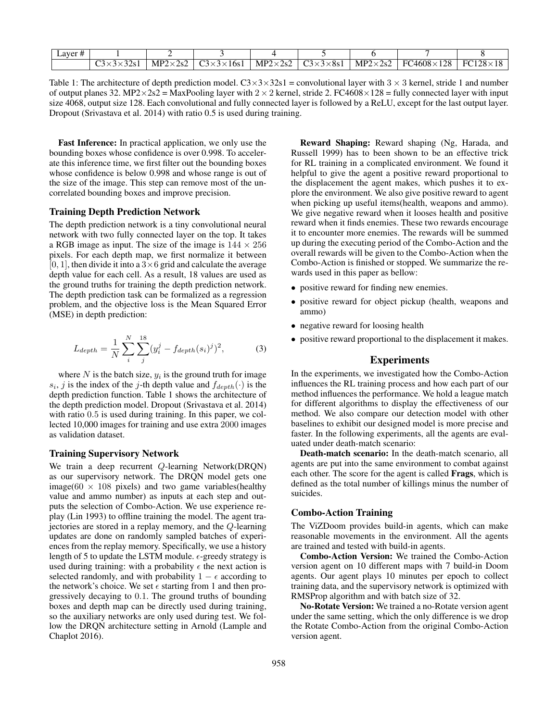| ~~ | NIP<br>ֿי ה <i>י</i> | $\sim$<br>l 6s | $MP^{\sim}$<br>$^{\prime}$ S.<br>the contract of the contract of the | $\sim$<br>$\times$ 8s | . MP <sup><math>\sim</math></sup><br>$\overline{\phantom{a}}$ | 4608<br>$\cap$<br>$E\Gamma$<br>$\sim$ | $E$ $C$ 100. |
|----|----------------------|----------------|----------------------------------------------------------------------|-----------------------|---------------------------------------------------------------|---------------------------------------|--------------|

Table 1: The architecture of depth prediction model.  $C3 \times 3 \times 32s1$  = convolutional layer with  $3 \times 3$  kernel, stride 1 and number of output planes 32. MP2×2s2 = MaxPooling layer with  $2 \times 2$  kernel, stride 2. FC4608×128 = fully connected layer with input size 4068, output size 128. Each convolutional and fully connected layer is followed by a ReLU, except for the last output layer. Dropout (Srivastava et al. 2014) with ratio 0.5 is used during training.

Fast Inference: In practical application, we only use the bounding boxes whose confidence is over 0.998. To accelerate this inference time, we first filter out the bounding boxes whose confidence is below 0.998 and whose range is out of the size of the image. This step can remove most of the uncorrelated bounding boxes and improve precision.

### Training Depth Prediction Network

The depth prediction network is a tiny convolutional neural network with two fully connected layer on the top. It takes a RGB image as input. The size of the image is  $144 \times 256$ pixels. For each depth map, we first normalize it between [0, 1], then divide it into a  $3\times 6$  grid and calculate the average depth value for each cell. As a result, 18 values are used as the ground truths for training the depth prediction network. The depth prediction task can be formalized as a regression problem, and the objective loss is the Mean Squared Error (MSE) in depth prediction:

$$
L_{depth} = \frac{1}{N} \sum_{i}^{N} \sum_{j}^{18} (y_i^j - f_{depth}(s_i)^j)^2,
$$
 (3)

where  $N$  is the batch size,  $y_i$  is the ground truth for image  $s_i$ , j is the index of the j-th depth value and  $f_{depth}(\cdot)$  is the depth prediction function. Table 1 shows the architecture of the depth prediction model. Dropout (Srivastava et al. 2014) with ratio  $0.5$  is used during training. In this paper, we collected 10,000 images for training and use extra 2000 images as validation dataset.

#### Training Supervisory Network

We train a deep recurrent Q-learning Network(DRQN) as our supervisory network. The DRQN model gets one image( $60 \times 108$  pixels) and two game variables(healthy value and ammo number) as inputs at each step and outputs the selection of Combo-Action. We use experience replay (Lin 1993) to offline training the model. The agent trajectories are stored in a replay memory, and the Q-learning updates are done on randomly sampled batches of experiences from the replay memory. Specifically, we use a history length of 5 to update the LSTM module.  $\epsilon$ -greedy strategy is used during training: with a probability  $\epsilon$  the next action is selected randomly, and with probability  $1 - \epsilon$  according to the network's choice. We set  $\epsilon$  starting from 1 and then progressively decaying to 0.1. The ground truths of bounding boxes and depth map can be directly used during training, so the auxiliary networks are only used during test. We follow the DRQN architecture setting in Arnold (Lample and Chaplot 2016).

Reward Shaping: Reward shaping (Ng, Harada, and Russell 1999) has to been shown to be an effective trick for RL training in a complicated environment. We found it helpful to give the agent a positive reward proportional to the displacement the agent makes, which pushes it to explore the environment. We also give positive reward to agent when picking up useful items(health, weapons and ammo). We give negative reward when it looses health and positive reward when it finds enemies. These two rewards encourage it to encounter more enemies. The rewards will be summed up during the executing period of the Combo-Action and the overall rewards will be given to the Combo-Action when the Combo-Action is finished or stopped. We summarize the rewards used in this paper as bellow:

- positive reward for finding new enemies.
- positive reward for object pickup (health, weapons and ammo)
- negative reward for loosing health
- positive reward proportional to the displacement it makes.

### Experiments

In the experiments, we investigated how the Combo-Action influences the RL training process and how each part of our method influences the performance. We hold a league match for different algorithms to display the effectiveness of our method. We also compare our detection model with other baselines to exhibit our designed model is more precise and faster. In the following experiments, all the agents are evaluated under death-match scenario:

Death-match scenario: In the death-match scenario, all agents are put into the same environment to combat against each other. The score for the agent is called Frags, which is defined as the total number of killings minus the number of suicides.

#### Combo-Action Training

The ViZDoom provides build-in agents, which can make reasonable movements in the environment. All the agents are trained and tested with build-in agents.

Combo-Action Version: We trained the Combo-Action version agent on 10 different maps with 7 build-in Doom agents. Our agent plays 10 minutes per epoch to collect training data, and the supervisory network is optimized with RMSProp algorithm and with batch size of 32.

No-Rotate Version: We trained a no-Rotate version agent under the same setting, which the only difference is we drop the Rotate Combo-Action from the original Combo-Action version agent.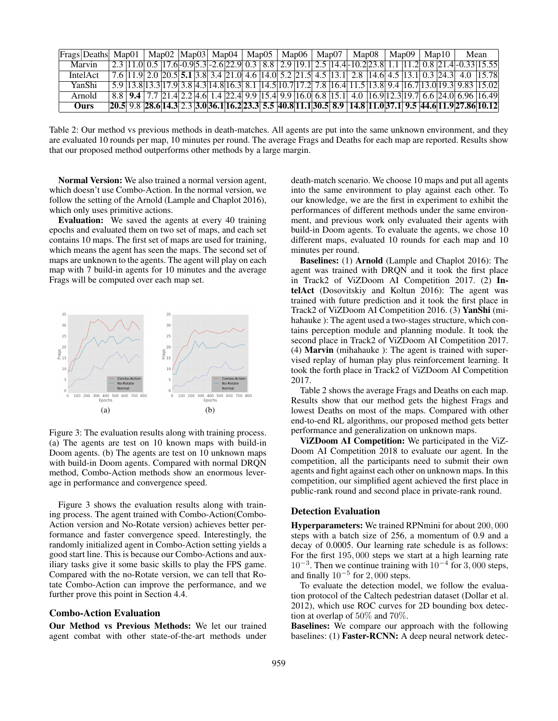| Frags Deaths Map01 |  | Map02   Map03   Map04 |  |  |  | $\vert$ Map05 $\vert$ Map06 $\vert$ | Man07 | Man08 |  | Map $091$ | Man10 | Mean                                                                                                                                                                                                                                                                                                                                                                                      |
|--------------------|--|-----------------------|--|--|--|-------------------------------------|-------|-------|--|-----------|-------|-------------------------------------------------------------------------------------------------------------------------------------------------------------------------------------------------------------------------------------------------------------------------------------------------------------------------------------------------------------------------------------------|
| Marvin             |  |                       |  |  |  |                                     |       |       |  |           |       | $\left[2.3\right]$ $\left[11.0\right]$ $\left[0.5\right]$ $\left[17.6\right]$ $\left[0.9\right]$ $\left[5.3\right]$ $\left[2.6\right]$ $\left[2.2\right]$ $\left[0.3\right]$ $\left[8.8\right]$ $\left[2.9\right]$ $\left[19.1\right]$ $\left[2.5\right]$ $\left[14.4\right]$ $\left[10.2\right]$ $\left[23.8\right]$ $\left[1.1\right]$ $\left[11.2\right]$ $\left[0.8\right]$ $\left[2$ |
| <b>IntelAct</b>    |  |                       |  |  |  |                                     |       |       |  |           |       | 7.6 11.9 2.0 20.5 5.1 3.8 3.4 21.0 4.6 14.0 5.2 21.5 4.5 13.1 2.8 14.6 4.5 13.1 0.3 24.3 4.0 15.78                                                                                                                                                                                                                                                                                        |
| YanShi             |  |                       |  |  |  |                                     |       |       |  |           |       | $\frac{5.9}{13.8}$ $\frac{13.8}{13.3}$ $\frac{17.9}{3.8}$ $\frac{3.8}{4.3}$ $\frac{14.8}{16.3}$ $\frac{16.1}{3.8}$ $\frac{17.2}{7.8}$ $\frac{7.8}{16.4}$ $\frac{11.5}{13.8}$ $\frac{13.8}{9.4}$ $\frac{16.7}{13.0}$ $\frac{13.0}{19.3}$ $\frac{9.83}{15.02}$                                                                                                                              |
| Arnold             |  |                       |  |  |  |                                     |       |       |  |           |       | 8.8 9.4 7.7 21.4 2.2 4.6 1.4 22.4 9.9 15.4 9.9 16.0 6.8 15.1 4.0 16.9 12.3 19.7 6.6 24.0 6.96 16.49                                                                                                                                                                                                                                                                                       |
| Ours               |  |                       |  |  |  |                                     |       |       |  |           |       | $20.5$ 9.8 $28.6$ 14.3 $2.3$ 3.0 $36.1$ 16.2 $23.3$ 5.5 $40.8$ 11.1 $30.5$ 8.9 14.8 11.0 37.1 9.5 $44.6$ 11.9 $27.86$ 10.12                                                                                                                                                                                                                                                               |

Table 2: Our method vs previous methods in death-matches. All agents are put into the same unknown environment, and they are evaluated 10 rounds per map, 10 minutes per round. The average Frags and Deaths for each map are reported. Results show that our proposed method outperforms other methods by a large margin.

Normal Version: We also trained a normal version agent, which doesn't use Combo-Action. In the normal version, we follow the setting of the Arnold (Lample and Chaplot 2016), which only uses primitive actions.

Evaluation: We saved the agents at every 40 training epochs and evaluated them on two set of maps, and each set contains 10 maps. The first set of maps are used for training, which means the agent has seen the maps. The second set of maps are unknown to the agents. The agent will play on each map with 7 build-in agents for 10 minutes and the average Frags will be computed over each map set.



Figure 3: The evaluation results along with training process. (a) The agents are test on 10 known maps with build-in Doom agents. (b) The agents are test on 10 unknown maps with build-in Doom agents. Compared with normal DRQN method, Combo-Action methods show an enormous leverage in performance and convergence speed.

Figure 3 shows the evaluation results along with training process. The agent trained with Combo-Action(Combo-Action version and No-Rotate version) achieves better performance and faster convergence speed. Interestingly, the randomly initialized agent in Combo-Action setting yields a good start line. This is because our Combo-Actions and auxiliary tasks give it some basic skills to play the FPS game. Compared with the no-Rotate version, we can tell that Rotate Combo-Action can improve the performance, and we further prove this point in Section 4.4.

#### Combo-Action Evaluation

Our Method vs Previous Methods: We let our trained agent combat with other state-of-the-art methods under

death-match scenario. We choose 10 maps and put all agents into the same environment to play against each other. To our knowledge, we are the first in experiment to exhibit the performances of different methods under the same environment, and previous work only evaluated their agents with build-in Doom agents. To evaluate the agents, we chose 10 different maps, evaluated 10 rounds for each map and 10 minutes per round.

Baselines: (1) Arnold (Lample and Chaplot 2016): The agent was trained with DRQN and it took the first place in Track2 of ViZDoom AI Competition 2017. (2) IntelAct (Dosovitskiy and Koltun 2016): The agent was trained with future prediction and it took the first place in Track2 of ViZDoom AI Competition 2016. (3) YanShi (mihahauke ): The agent used a two-stages structure, which contains perception module and planning module. It took the second place in Track2 of ViZDoom AI Competition 2017. (4) Marvin (mihahauke ): The agent is trained with supervised replay of human play plus reinforcement learning. It took the forth place in Track2 of ViZDoom AI Competition 2017.

Table 2 shows the average Frags and Deaths on each map. Results show that our method gets the highest Frags and lowest Deaths on most of the maps. Compared with other end-to-end RL algorithms, our proposed method gets better performance and generalization on unknown maps.

ViZDoom AI Competition: We participated in the ViZ-Doom AI Competition 2018 to evaluate our agent. In the competition, all the participants need to submit their own agents and fight against each other on unknown maps. In this competition, our simplified agent achieved the first place in public-rank round and second place in private-rank round.

# Detection Evaluation

Hyperparameters: We trained RPNmini for about 200, 000 steps with a batch size of 256, a momentum of 0.9 and a decay of 0.0005. Our learning rate schedule is as follows: For the first 195, 000 steps we start at a high learning rate  $10^{-3}$ . Then we continue training with  $10^{-4}$  for 3,000 steps, and finally  $10^{-5}$  for 2,000 steps.

To evaluate the detection model, we follow the evaluation protocol of the Caltech pedestrian dataset (Dollar et al. 2012), which use ROC curves for 2D bounding box detection at overlap of 50% and 70%.

Baselines: We compare our approach with the following baselines: (1) Faster-RCNN: A deep neural network detec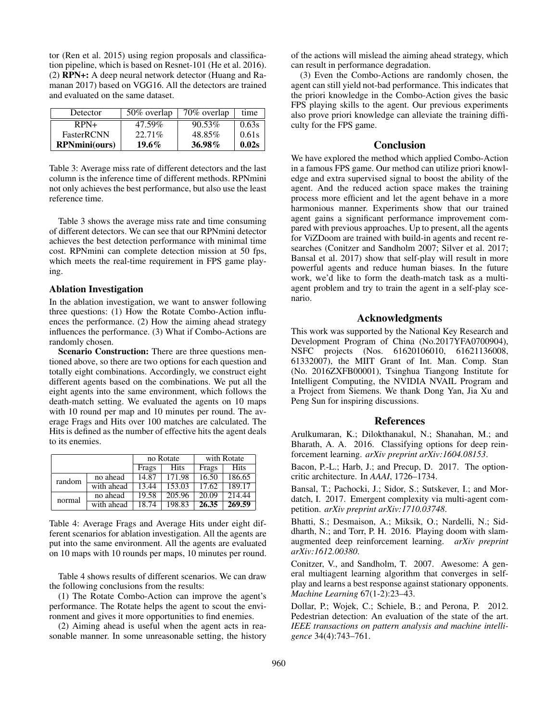tor (Ren et al. 2015) using region proposals and classification pipeline, which is based on Resnet-101 (He et al. 2016). (2) RPN+: A deep neural network detector (Huang and Ramanan 2017) based on VGG16. All the detectors are trained and evaluated on the same dataset.

| Detector             | 50% overlap | 70% overlap | time  |
|----------------------|-------------|-------------|-------|
| $RPN+$               | 47.59%      | 90.53%      | 0.63s |
| <b>FasterRCNN</b>    | 22.71\%     | 48.85%      | 0.61s |
| <b>RPNmini(ours)</b> | $19.6\%$    | 36.98%      | 0.02s |

Table 3: Average miss rate of different detectors and the last column is the inference time of different methods. RPNmini not only achieves the best performance, but also use the least reference time.

Table 3 shows the average miss rate and time consuming of different detectors. We can see that our RPNmini detector achieves the best detection performance with minimal time cost. RPNmini can complete detection mission at 50 fps, which meets the real-time requirement in FPS game playing.

# Ablation Investigation

In the ablation investigation, we want to answer following three questions: (1) How the Rotate Combo-Action influences the performance. (2) How the aiming ahead strategy influences the performance. (3) What if Combo-Actions are randomly chosen.

Scenario Construction: There are three questions mentioned above, so there are two options for each question and totally eight combinations. Accordingly, we construct eight different agents based on the combinations. We put all the eight agents into the same environment, which follows the death-match setting. We evaluated the agents on 10 maps with 10 round per map and 10 minutes per round. The average Frags and Hits over 100 matches are calculated. The Hits is defined as the number of effective hits the agent deals to its enemies.

|        |            |       | no Rotate   | with Rotate |             |  |  |
|--------|------------|-------|-------------|-------------|-------------|--|--|
|        |            | Frags | <b>Hits</b> | Frags       | <b>Hits</b> |  |  |
| random | no ahead   | 14.87 | 171.98      | 16.50       | 186.65      |  |  |
|        | with ahead | 13.44 | 153.03      | 17.62       | 189.17      |  |  |
| normal | no ahead   | 19.58 | 205.96      | 20.09       | 214.44      |  |  |
|        | with ahead | 18.74 | 198.83      | 26.35       | 269.59      |  |  |

Table 4: Average Frags and Average Hits under eight different scenarios for ablation investigation. All the agents are put into the same environment. All the agents are evaluated on 10 maps with 10 rounds per maps, 10 minutes per round.

Table 4 shows results of different scenarios. We can draw the following conclusions from the results:

(1) The Rotate Combo-Action can improve the agent's performance. The Rotate helps the agent to scout the environment and gives it more opportunities to find enemies.

(2) Aiming ahead is useful when the agent acts in reasonable manner. In some unreasonable setting, the history of the actions will mislead the aiming ahead strategy, which can result in performance degradation.

(3) Even the Combo-Actions are randomly chosen, the agent can still yield not-bad performance. This indicates that the priori knowledge in the Combo-Action gives the basic FPS playing skills to the agent. Our previous experiments also prove priori knowledge can alleviate the training difficulty for the FPS game.

# **Conclusion**

We have explored the method which applied Combo-Action in a famous FPS game. Our method can utilize priori knowledge and extra supervised signal to boost the ability of the agent. And the reduced action space makes the training process more efficient and let the agent behave in a more harmonious manner. Experiments show that our trained agent gains a significant performance improvement compared with previous approaches. Up to present, all the agents for ViZDoom are trained with build-in agents and recent researches (Conitzer and Sandholm 2007; Silver et al. 2017; Bansal et al. 2017) show that self-play will result in more powerful agents and reduce human biases. In the future work, we'd like to form the death-match task as a multiagent problem and try to train the agent in a self-play scenario.

# Acknowledgments

This work was supported by the National Key Research and Development Program of China (No.2017YFA0700904), NSFC projects (Nos. 61620106010, 61621136008, 61332007), the MIIT Grant of Int. Man. Comp. Stan (No. 2016ZXFB00001), Tsinghua Tiangong Institute for Intelligent Computing, the NVIDIA NVAIL Program and a Project from Siemens. We thank Dong Yan, Jia Xu and Peng Sun for inspiring discussions.

# References

Arulkumaran, K.; Dilokthanakul, N.; Shanahan, M.; and Bharath, A. A. 2016. Classifying options for deep reinforcement learning. *arXiv preprint arXiv:1604.08153*.

Bacon, P.-L.; Harb, J.; and Precup, D. 2017. The optioncritic architecture. In *AAAI*, 1726–1734.

Bansal, T.; Pachocki, J.; Sidor, S.; Sutskever, I.; and Mordatch, I. 2017. Emergent complexity via multi-agent competition. *arXiv preprint arXiv:1710.03748*.

Bhatti, S.; Desmaison, A.; Miksik, O.; Nardelli, N.; Siddharth, N.; and Torr, P. H. 2016. Playing doom with slamaugmented deep reinforcement learning. *arXiv preprint arXiv:1612.00380*.

Conitzer, V., and Sandholm, T. 2007. Awesome: A general multiagent learning algorithm that converges in selfplay and learns a best response against stationary opponents. *Machine Learning* 67(1-2):23–43.

Dollar, P.; Wojek, C.; Schiele, B.; and Perona, P. 2012. Pedestrian detection: An evaluation of the state of the art. *IEEE transactions on pattern analysis and machine intelligence* 34(4):743–761.